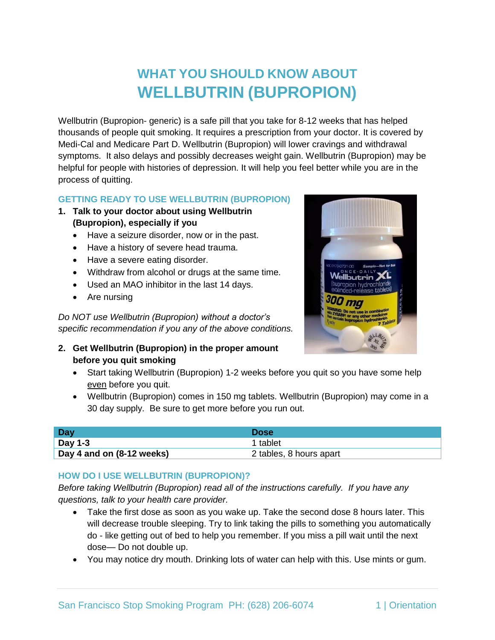# **WHAT YOU SHOULD KNOW ABOUT WELLBUTRIN (BUPROPION)**

Wellbutrin (Bupropion- generic) is a safe pill that you take for 8-12 weeks that has helped thousands of people quit smoking. It requires a prescription from your doctor. It is covered by Medi-Cal and Medicare Part D. Wellbutrin (Bupropion) will lower cravings and withdrawal symptoms. It also delays and possibly decreases weight gain. Wellbutrin (Bupropion) may be helpful for people with histories of depression. It will help you feel better while you are in the process of quitting.

### **GETTING READY TO USE WELLBUTRIN (BUPROPION)**

- **1. Talk to your doctor about using Wellbutrin (Bupropion), especially if you**
	- Have a seizure disorder, now or in the past.
	- Have a history of severe head trauma.
	- Have a severe eating disorder.
	- Withdraw from alcohol or drugs at the same time.
	- Used an MAO inhibitor in the last 14 days.
	- Are nursing

*Do NOT use Wellbutrin (Bupropion) without a doctor's specific recommendation if you any of the above conditions.*

- **2. Get Wellbutrin (Bupropion) in the proper amount before you quit smoking** 
	- Start taking Wellbutrin (Bupropion) 1-2 weeks before you quit so you have some help even before you quit.
	- Wellbutrin (Bupropion) comes in 150 mg tablets. Wellbutrin (Bupropion) may come in a 30 day supply. Be sure to get more before you run out.

| Dav                       | <b>Dose</b>             |
|---------------------------|-------------------------|
| <b>Day 1-3</b>            | 1 tablet                |
| Day 4 and on (8-12 weeks) | 2 tables, 8 hours apart |

#### **HOW DO I USE WELLBUTRIN (BUPROPION)?**

*Before taking Wellbutrin (Bupropion) read all of the instructions carefully. If you have any questions, talk to your health care provider.*

- Take the first dose as soon as you wake up. Take the second dose 8 hours later. This will decrease trouble sleeping. Try to link taking the pills to something you automatically do - like getting out of bed to help you remember. If you miss a pill wait until the next dose— Do not double up.
- You may notice dry mouth. Drinking lots of water can help with this. Use mints or gum.